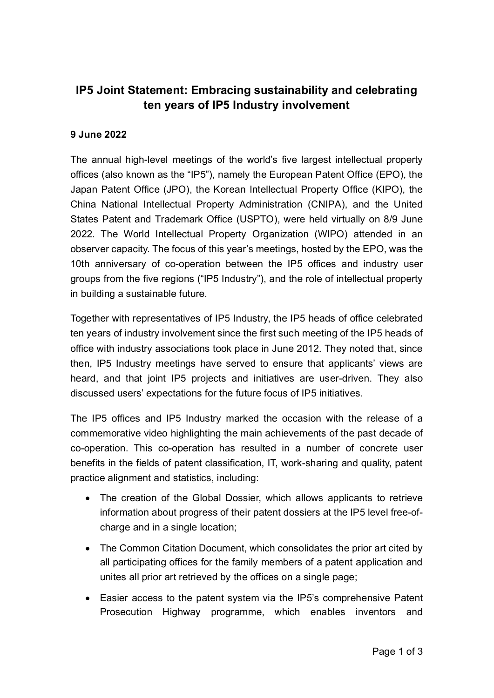## **IP5 Joint Statement: Embracing sustainability and celebrating ten years of IP5 Industry involvement**

## **9 June 2022**

The annual high-level meetings of the world's five largest intellectual property offices (also known as the "IP5"), namely the European Patent Office (EPO), the Japan Patent Office (JPO), the Korean Intellectual Property Office (KIPO), the China National Intellectual Property Administration (CNIPA), and the United States Patent and Trademark Office (USPTO), were held virtually on 8/9 June 2022. The World Intellectual Property Organization (WIPO) attended in an observer capacity. The focus of this year's meetings, hosted by the EPO, was the 10th anniversary of co-operation between the IP5 offices and industry user groups from the five regions ("IP5 Industry"), and the role of intellectual property in building a sustainable future.

Together with representatives of IP5 Industry, the IP5 heads of office celebrated ten years of industry involvement since the first such meeting of the IP5 heads of office with industry associations took place in June 2012. They noted that, since then, IP5 Industry meetings have served to ensure that applicants' views are heard, and that joint IP5 projects and initiatives are user-driven. They also discussed users' expectations for the future focus of IP5 initiatives.

The IP5 offices and IP5 Industry marked the occasion with the release of a commemorative video highlighting the main achievements of the past decade of co-operation. This co-operation has resulted in a number of concrete user benefits in the fields of patent classification, IT, work-sharing and quality, patent practice alignment and statistics, including:

- The creation of the Global Dossier, which allows applicants to retrieve information about progress of their patent dossiers at the IP5 level free-ofcharge and in a single location;
- The Common Citation Document, which consolidates the prior art cited by all participating offices for the family members of a patent application and unites all prior art retrieved by the offices on a single page;
- Easier access to the patent system via the IP5's comprehensive Patent Prosecution Highway programme, which enables inventors and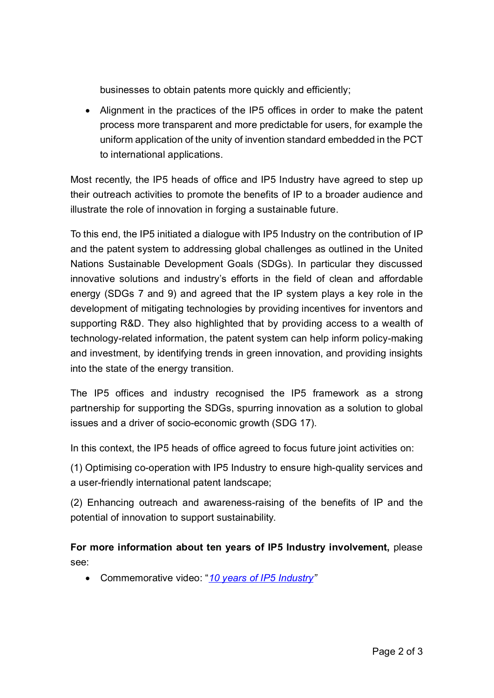businesses to obtain patents more quickly and efficiently;

• Alignment in the practices of the IP5 offices in order to make the patent process more transparent and more predictable for users, for example the uniform application of the unity of invention standard embedded in the PCT to international applications.

Most recently, the IP5 heads of office and IP5 Industry have agreed to step up their outreach activities to promote the benefits of IP to a broader audience and illustrate the role of innovation in forging a sustainable future.

To this end, the IP5 initiated a dialogue with IP5 Industry on the contribution of IP and the patent system to addressing global challenges as outlined in the United Nations Sustainable Development Goals (SDGs). In particular they discussed innovative solutions and industry's efforts in the field of clean and affordable energy (SDGs 7 and 9) and agreed that the IP system plays a key role in the development of mitigating technologies by providing incentives for inventors and supporting R&D. They also highlighted that by providing access to a wealth of technology-related information, the patent system can help inform policy-making and investment, by identifying trends in green innovation, and providing insights into the state of the energy transition.

The IP5 offices and industry recognised the IP5 framework as a strong partnership for supporting the SDGs, spurring innovation as a solution to global issues and a driver of socio-economic growth (SDG 17).

In this context, the IP5 heads of office agreed to focus future joint activities on:

(1) Optimising co-operation with IP5 Industry to ensure high-quality services and a user-friendly international patent landscape;

(2) Enhancing outreach and awareness-raising of the benefits of IP and the potential of innovation to support sustainability.

**For more information about ten years of IP5 Industry involvement,** please see:

• Commemorative video: "*[10 years of IP5](https://f.io/QtMwV7WI) Industry"*